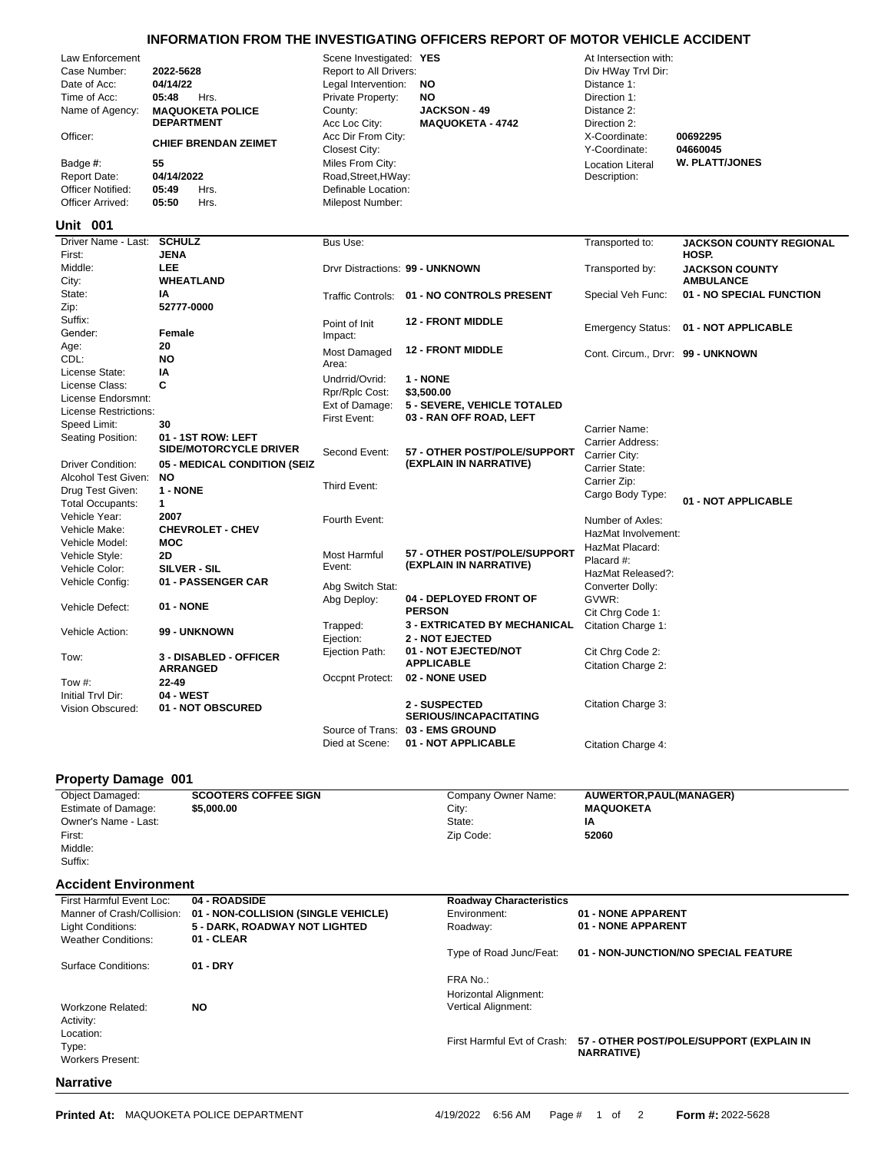## **INFORMATION FROM THE INVESTIGATING OFFICERS REPORT OF MOTOR VEHICLE ACCIDENT**

| Law Enforcement<br>Case Number: | 2022-5628                    | Scene Investigated: YES<br>Report to All Drivers: |                                            | At Intersection with:<br>Div HWay Trvl Dir: |                                |  |  |
|---------------------------------|------------------------------|---------------------------------------------------|--------------------------------------------|---------------------------------------------|--------------------------------|--|--|
| Date of Acc:                    | 04/14/22                     | Legal Intervention:                               | NO                                         | Distance 1:                                 |                                |  |  |
| Time of Acc:                    | 05:48<br>Hrs.                | Private Property:                                 | <b>NO</b>                                  | Direction 1:                                |                                |  |  |
| Name of Agency:                 | <b>MAQUOKETA POLICE</b>      | County:                                           | <b>JACKSON - 49</b>                        | Distance 2:                                 |                                |  |  |
|                                 | <b>DEPARTMENT</b>            | Acc Loc City:                                     | <b>MAQUOKETA - 4742</b>                    | Direction 2:                                |                                |  |  |
| Officer:                        | <b>CHIEF BRENDAN ZEIMET</b>  | Acc Dir From City:<br>Closest City:               |                                            | X-Coordinate:<br>Y-Coordinate:              | 00692295<br>04660045           |  |  |
| Badge #:                        | 55                           | Miles From City:                                  |                                            | <b>Location Literal</b>                     | <b>W. PLATT/JONES</b>          |  |  |
| <b>Report Date:</b>             | 04/14/2022                   | Road, Street, HWay:                               |                                            | Description:                                |                                |  |  |
| <b>Officer Notified:</b>        | 05:49<br>Hrs.                | Definable Location:                               |                                            |                                             |                                |  |  |
| Officer Arrived:                | 05:50<br>Hrs.                | Milepost Number:                                  |                                            |                                             |                                |  |  |
| <b>Unit 001</b>                 |                              |                                                   |                                            |                                             |                                |  |  |
| Driver Name - Last:             | <b>SCHULZ</b>                | Bus Use:                                          |                                            | Transported to:                             | <b>JACKSON COUNTY REGIONAL</b> |  |  |
| First:                          | <b>JENA</b>                  |                                                   |                                            |                                             | HOSP.                          |  |  |
| Middle:                         | <b>LEE</b>                   | Drvr Distractions: 99 - UNKNOWN                   |                                            | Transported by:                             | <b>JACKSON COUNTY</b>          |  |  |
| City:                           | <b>WHEATLAND</b>             |                                                   |                                            |                                             | <b>AMBULANCE</b>               |  |  |
| State:                          | IA                           |                                                   | Traffic Controls: 01 - NO CONTROLS PRESENT | Special Veh Func:                           | 01 - NO SPECIAL FUNCTION       |  |  |
| Zip:                            | 52777-0000                   |                                                   |                                            |                                             |                                |  |  |
| Suffix:                         |                              | Point of Init                                     | <b>12 - FRONT MIDDLE</b>                   | <b>Emergency Status:</b>                    | 01 - NOT APPLICABLE            |  |  |
| Gender:                         | Female                       | Impact:                                           |                                            |                                             |                                |  |  |
| Age:                            | 20                           | Most Damaged                                      | <b>12 - FRONT MIDDLE</b>                   | Cont. Circum., Drvr: 99 - UNKNOWN           |                                |  |  |
| CDL:                            | <b>NO</b>                    | Area:                                             |                                            |                                             |                                |  |  |
| License State:                  | ΙA                           | Undrrid/Ovrid:                                    | 1 - NONE                                   |                                             |                                |  |  |
| License Class:                  | C                            | Rpr/Rplc Cost:                                    | \$3,500.00                                 |                                             |                                |  |  |
| License Endorsmnt:              |                              | Ext of Damage:                                    | 5 - SEVERE, VEHICLE TOTALED                |                                             |                                |  |  |
| License Restrictions:           |                              | First Event:                                      | 03 - RAN OFF ROAD, LEFT                    |                                             |                                |  |  |
| Speed Limit:                    | 30                           |                                                   |                                            | Carrier Name:                               |                                |  |  |
| Seating Position:               | 01 - 1ST ROW: LEFT           |                                                   |                                            | Carrier Address:                            |                                |  |  |
|                                 | SIDE/MOTORCYCLE DRIVER       | Second Event:                                     | 57 - OTHER POST/POLE/SUPPORT               | Carrier City:                               |                                |  |  |
| <b>Driver Condition:</b>        | 05 - MEDICAL CONDITION (SEIZ |                                                   | (EXPLAIN IN NARRATIVE)                     | Carrier State:                              |                                |  |  |
| Alcohol Test Given:             | <b>NO</b>                    |                                                   |                                            | Carrier Zip:                                |                                |  |  |
| Drug Test Given:                | 1 - NONE                     | Third Event:                                      |                                            | Cargo Body Type:                            |                                |  |  |
| Total Occupants:                | 1                            |                                                   |                                            |                                             | 01 - NOT APPLICABLE            |  |  |
| Vehicle Year:                   | 2007                         | Fourth Event:                                     |                                            | Number of Axles:                            |                                |  |  |
| Vehicle Make:                   | <b>CHEVROLET - CHEV</b>      |                                                   |                                            | HazMat Involvement:                         |                                |  |  |
| Vehicle Model:                  | <b>MOC</b>                   |                                                   |                                            | HazMat Placard:                             |                                |  |  |
| Vehicle Style:                  | <b>2D</b>                    | Most Harmful                                      | 57 - OTHER POST/POLE/SUPPORT               | Placard #:                                  |                                |  |  |
| Vehicle Color:                  | SILVER - SIL                 | Event:                                            | (EXPLAIN IN NARRATIVE)                     | HazMat Released?:                           |                                |  |  |
| Vehicle Config:                 | 01 - PASSENGER CAR           | Abg Switch Stat:                                  |                                            | Converter Dolly:                            |                                |  |  |
|                                 |                              | Abg Deploy:                                       | 04 - DEPLOYED FRONT OF                     | GVWR:                                       |                                |  |  |
| Vehicle Defect:                 | 01 - NONE                    |                                                   | <b>PERSON</b>                              | Cit Chrg Code 1:                            |                                |  |  |
|                                 |                              | Trapped:                                          | <b>3 - EXTRICATED BY MECHANICAL</b>        | Citation Charge 1:                          |                                |  |  |
| Vehicle Action:                 | 99 - UNKNOWN                 | Ejection:                                         | <b>2 - NOT EJECTED</b>                     |                                             |                                |  |  |
|                                 |                              | Ejection Path:                                    | 01 - NOT EJECTED/NOT                       | Cit Chrg Code 2:                            |                                |  |  |
| Tow:                            | 3 - DISABLED - OFFICER       |                                                   | <b>APPLICABLE</b>                          | Citation Charge 2:                          |                                |  |  |
|                                 | <b>ARRANGED</b>              | Occpnt Protect:                                   | 02 - NONE USED                             |                                             |                                |  |  |
| Tow #:                          | $22 - 49$                    |                                                   |                                            |                                             |                                |  |  |
| Initial Tryl Dir:               | 04 - WEST                    |                                                   | 2 - SUSPECTED                              | Citation Charge 3:                          |                                |  |  |
| Vision Obscured:                | 01 - NOT OBSCURED            |                                                   | <b>SERIOUS/INCAPACITATING</b>              |                                             |                                |  |  |
|                                 |                              |                                                   | Source of Trans: 03 - EMS GROUND           |                                             |                                |  |  |
|                                 |                              | Died at Scene:                                    | 01 - NOT APPLICABLE                        |                                             |                                |  |  |
|                                 |                              |                                                   |                                            | Citation Charge 4:                          |                                |  |  |

## **Property Damage 001**

| <b>Object Damaged:</b>      | <b>SCOOTERS COFFEE SIGN</b>         | Company Owner Name:            | AUWERTOR, PAUL (MANAGER)               |
|-----------------------------|-------------------------------------|--------------------------------|----------------------------------------|
| <b>Estimate of Damage:</b>  | \$5,000.00                          | City:                          | <b>MAQUOKETA</b>                       |
| Owner's Name - Last:        |                                     | State:                         | IA                                     |
| First:                      |                                     | Zip Code:                      | 52060                                  |
| Middle:                     |                                     |                                |                                        |
| Suffix:                     |                                     |                                |                                        |
| <b>Accident Environment</b> |                                     |                                |                                        |
| First Harmful Event Loc:    | 04 - ROADSIDE                       | <b>Roadway Characteristics</b> |                                        |
| Manner of Crash/Collision:  | 01 - NON-COLLISION (SINGLE VEHICLE) | Environment:                   | 01 - NONE APPARENT                     |
| Light Conditions:           | 5 - DARK, ROADWAY NOT LIGHTED       | Roadway:                       | 01 - NONE APPARENT                     |
| <b>Weather Conditions:</b>  | 01 - CLEAR                          |                                |                                        |
|                             |                                     | Type of Road Junc/Feat:        | 01 - NON-JUNCTION/NO SPECIAL FEATURE   |
| Surface Conditions:         | $01 - DRY$                          |                                |                                        |
|                             |                                     | FRA No.:                       |                                        |
|                             |                                     | Horizontal Alignment:          |                                        |
| Workzone Related:           | <b>NO</b>                           | <b>Vertical Alignment:</b>     |                                        |
| Activity:                   |                                     |                                |                                        |
| Location:                   |                                     |                                | ET ATUES BAATISALEIGUSSAST (EVSLAINUM) |
|                             |                                     |                                |                                        |

Type: First Harmful Evt of Crash: **57 - OTHER POST/POLE/SUPPORT (EXPLAIN IN NARRATIVE)**

Workers Present:

## **Narrative**